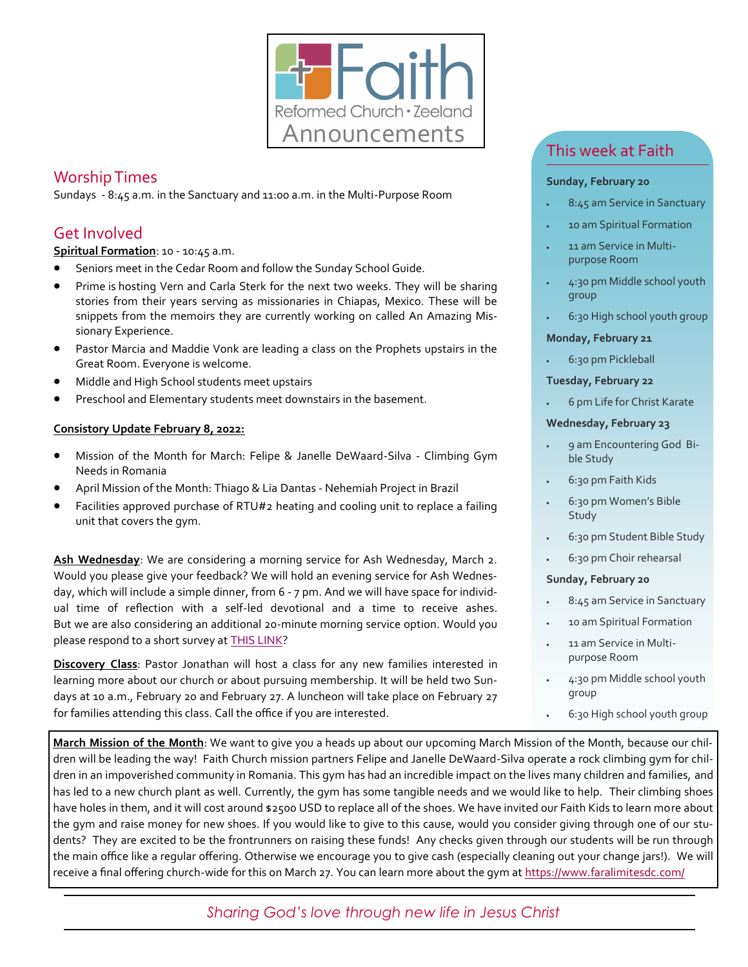

## Worship Times

Sundays - 8:45 a.m. in the Sanctuary and 11:00 a.m. in the Multi-Purpose Room

## Get Involved

**Spiritual Formation**: 10 - 10:45 a.m.

- Seniors meet in the Cedar Room and follow the Sunday School Guide.
- Prime is hosting Vern and Carla Sterk for the next two weeks. They will be sharing stories from their years serving as missionaries in Chiapas, Mexico. These will be snippets from the memoirs they are currently working on called An Amazing Missionary Experience.
- Pastor Marcia and Maddie Vonk are leading a class on the Prophets upstairs in the Great Room. Everyone is welcome.
- Middle and High School students meet upstairs
- Preschool and Elementary students meet downstairs in the basement.

#### **Consistory Update February 8, 2022:**

- Mission of the Month for March: Felipe & Janelle DeWaard-Silva Climbing Gym Needs in Romania
- April Mission of the Month: Thiago & Lia Dantas Nehemiah Project in Brazil
- Facilities approved purchase of RTU#2 heating and cooling unit to replace a failing unit that covers the gym.

Ash Wednesday: We are considering a morning service for Ash Wednesday, March 2. Would you please give your feedback? We will hold an evening service for Ash Wednesday, which will include a simple dinner, from 6 - 7 pm. And we will have space for individual time of reflection with a self-led devotional and a time to receive ashes. But we are also considering an additional 20-minute morning service option. Would you please respond to a short survey at **[THIS LINK?](https://forms.office.com/Pages/ResponsePage.aspx?id=ZQvCNGkYm0yYg_MTUb1PwoGOkzCSasFKvb5INxPmkFNUMTBBVE9MSkdOVUQ0VzNaMlU2MzBVU1BXUC4u)** 

**Discovery Class**: Pastor Jonathan will host a class for any new families interested in learning more about our church or about pursuing membership. It will be held two Sundays at 10 a.m., February 20 and February 27. A luncheon will take place on February 27 for families attending this class. Call the office if you are interested.

## This week at Faith

#### **Sunday, February 20**

- 8:45 am Service in Sanctuary
- 10 am Spiritual Formation
- 11 am Service in Multipurpose Room
- 4:30 pm Middle school youth group
- 6:30 High school youth group

#### **Monday, February 21**

• 6:30 pm Pickleball

#### **Tuesday, February 22**

• 6 pm Life for Christ Karate

#### **Wednesday, February 23**

- 9 am Encountering God Bible Study
- 6:30 pm Faith Kids
- 6:30 pm Women's Bible Study
- 6:30 pm Student Bible Study
- 6:30 pm Choir rehearsal

#### **Sunday, February 20**

- 8:45 am Service in Sanctuary
- 10 am Spiritual Formation
- 11 am Service in Multipurpose Room
- 4:30 pm Middle school youth group
- 6:30 High school youth group

**March Mission of the Month**: We want to give you a heads up about our upcoming March Mission of the Month, because our children will be leading the way! Faith Church mission partners Felipe and Janelle DeWaard-Silva operate a rock climbing gym for children in an impoverished community in Romania. This gym has had an incredible impact on the lives many children and families, and has led to a new church plant as well. Currently, the gym has some tangible needs and we would like to help. Their climbing shoes have holes in them, and it will cost around \$2500 USD to replace all of the shoes. We have invited our Faith Kids to learn more about the gym and raise money for new shoes. If you would like to give to this cause, would you consider giving through one of our students? They are excited to be the frontrunners on raising these funds! Any checks given through our students will be run through the main office like a regular offering. Otherwise we encourage you to give cash (especially cleaning out your change jars!). We will receive a final offering church-wide for this on March 27. You can learn more about the gym at [https://www.faralimitesdc.com/](https://nam04.safelinks.protection.outlook.com/?url=https%3A%2F%2Fwww.faralimitesdc.com%2F&data=04%7C01%7Csbrower%40faithrc.org%7C61afac9a56d34aafee9408d9f2219824%7C34c20b6518694c9b9883f31351bd4fc2%7C0%7C0%7C637807048375084865%7CUnknown%7CTWFpbGZsb3d8eyJWIjoi)

### *Sharing God's love through new life in Jesus Christ*